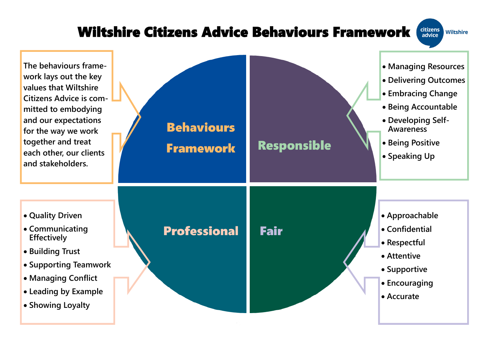